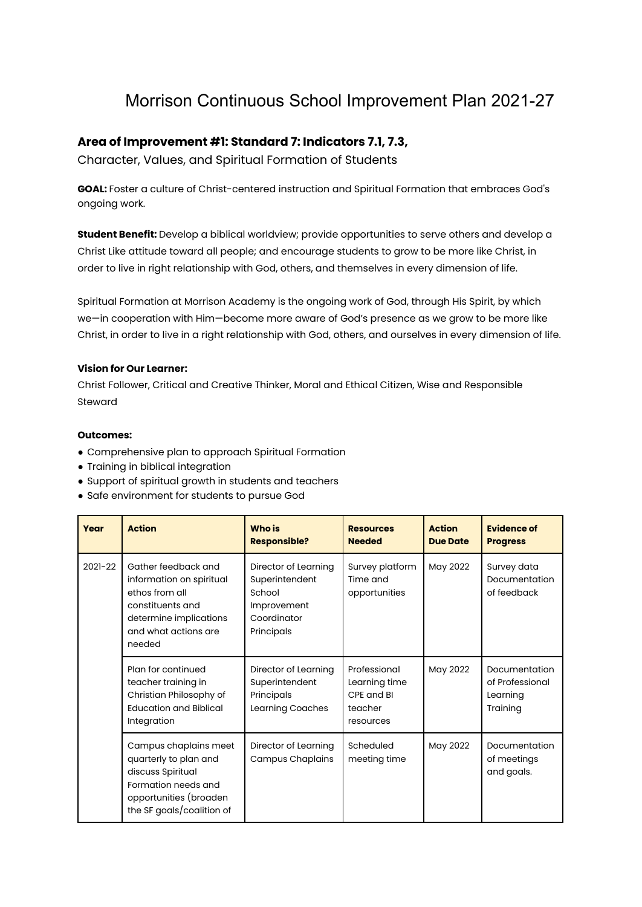# Morrison Continuous School Improvement Plan 2021-27

## **Area of Improvement #1: Standard 7: Indicators 7.1, 7.3,**

Character, Values, and Spiritual Formation of Students

**GOAL:** Foster a culture of Christ-centered instruction and Spiritual Formation that embraces God's ongoing work.

**Student Benefit:** Develop a biblical worldview; provide opportunities to serve others and develop a Christ Like attitude toward all people; and encourage students to grow to be more like Christ, in order to live in right relationship with God, others, and themselves in every dimension of life.

Spiritual Formation at Morrison Academy is the ongoing work of God, through His Spirit, by which we—in cooperation with Him—become more aware of God's presence as we grow to be more like Christ, in order to live in a right relationship with God, others, and ourselves in every dimension of life.

## **Vision for Our Learner:**

Christ Follower, Critical and Creative Thinker, Moral and Ethical Citizen, Wise and Responsible Steward

#### **Outcomes:**

- Comprehensive plan to approach Spiritual Formation
- Training in biblical integration
- Support of spiritual growth in students and teachers
- Safe environment for students to pursue God

| Year    | <b>Action</b>                                                                                                                                     | <b>Who is</b><br><b>Responsible?</b>                                                         | <b>Resources</b><br><b>Needed</b>                                   | <b>Action</b><br><b>Due Date</b> | <b>Evidence of</b><br><b>Progress</b>                    |
|---------|---------------------------------------------------------------------------------------------------------------------------------------------------|----------------------------------------------------------------------------------------------|---------------------------------------------------------------------|----------------------------------|----------------------------------------------------------|
| 2021-22 | Gather feedback and<br>information on spiritual<br>ethos from all<br>constituents and<br>determine implications<br>and what actions are<br>needed | Director of Learning<br>Superintendent<br>School<br>Improvement<br>Coordinator<br>Principals | Survey platform<br>Time and<br>opportunities                        | May 2022                         | Survey data<br>Documentation<br>of feedback              |
|         | Plan for continued<br>teacher training in<br>Christian Philosophy of<br><b>Education and Biblical</b><br>Integration                              | Director of Learning<br>Superintendent<br>Principals<br>Learning Coaches                     | Professional<br>Learning time<br>CPE and BI<br>teacher<br>resources | May 2022                         | Documentation<br>of Professional<br>Learning<br>Training |
|         | Campus chaplains meet<br>quarterly to plan and<br>discuss Spiritual<br>Formation needs and<br>opportunities (broaden<br>the SF goals/coalition of | Director of Learning<br><b>Campus Chaplains</b>                                              | Scheduled<br>meeting time                                           | May 2022                         | Documentation<br>of meetings<br>and goals.               |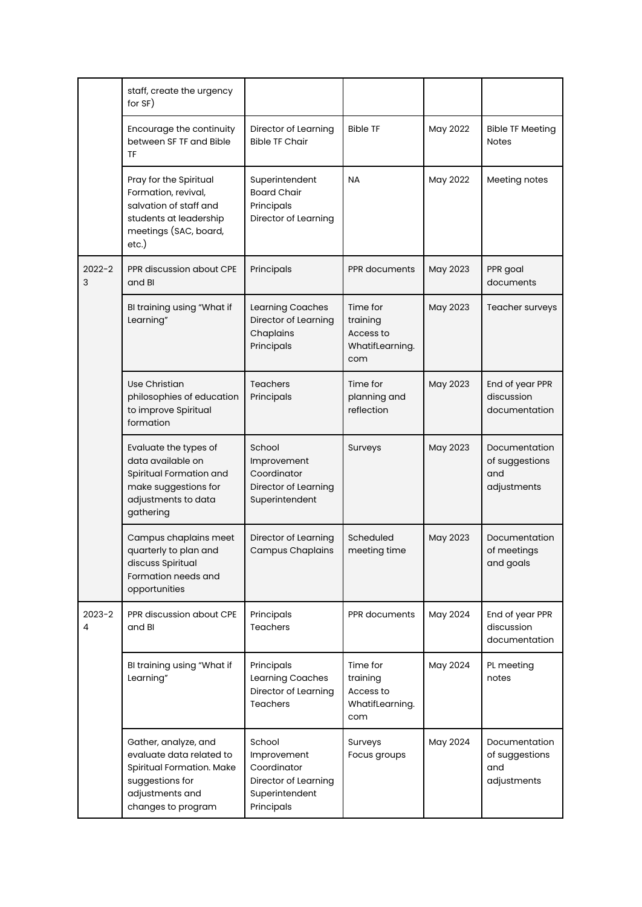|                 | staff, create the urgency<br>for SF)                                                                                                      |                                                                                              |                                                             |          |                                                       |
|-----------------|-------------------------------------------------------------------------------------------------------------------------------------------|----------------------------------------------------------------------------------------------|-------------------------------------------------------------|----------|-------------------------------------------------------|
|                 | Encourage the continuity<br>between SF TF and Bible<br>TF                                                                                 | Director of Learning<br><b>Bible TF Chair</b>                                                | <b>Bible TF</b>                                             | May 2022 | <b>Bible TF Meeting</b><br><b>Notes</b>               |
|                 | Pray for the Spiritual<br>Formation, revival,<br>salvation of staff and<br>students at leadership<br>meetings (SAC, board,<br>etc.)       | Superintendent<br><b>Board Chair</b><br>Principals<br>Director of Learning                   | <b>NA</b>                                                   | May 2022 | Meeting notes                                         |
| $2022 - 2$<br>3 | PPR discussion about CPE<br>and BI                                                                                                        | Principals                                                                                   | PPR documents                                               | May 2023 | PPR goal<br>documents                                 |
|                 | BI training using "What if<br>Learning"                                                                                                   | Learning Coaches<br>Director of Learning<br>Chaplains<br>Principals                          | Time for<br>training<br>Access to<br>WhatifLearning.<br>com | May 2023 | Teacher surveys                                       |
|                 | Use Christian<br>philosophies of education<br>to improve Spiritual<br>formation                                                           | <b>Teachers</b><br>Principals                                                                | Time for<br>planning and<br>reflection                      | May 2023 | End of year PPR<br>discussion<br>documentation        |
|                 | Evaluate the types of<br>data available on<br>Spiritual Formation and<br>make suggestions for<br>adjustments to data<br>gathering         | School<br>Improvement<br>Coordinator<br>Director of Learning<br>Superintendent               | Surveys                                                     | May 2023 | Documentation<br>of suggestions<br>and<br>adjustments |
|                 | Campus chaplains meet<br>quarterly to plan and<br>discuss Spiritual<br>Formation needs and<br>opportunities                               | Director of Learning<br><b>Campus Chaplains</b>                                              | Scheduled<br>meeting time                                   | May 2023 | Documentation<br>of meetings<br>and goals             |
| $2023 - 2$<br>4 | PPR discussion about CPE<br>and BI                                                                                                        | Principals<br><b>Teachers</b>                                                                | PPR documents                                               | May 2024 | End of year PPR<br>discussion<br>documentation        |
|                 | BI training using "What if<br>Learning"                                                                                                   | Principals<br>Learning Coaches<br>Director of Learning<br>Teachers                           | Time for<br>training<br>Access to<br>WhatifLearning.<br>com | May 2024 | PL meeting<br>notes                                   |
|                 | Gather, analyze, and<br>evaluate data related to<br>Spiritual Formation. Make<br>suggestions for<br>adjustments and<br>changes to program | School<br>Improvement<br>Coordinator<br>Director of Learning<br>Superintendent<br>Principals | Surveys<br>Focus groups                                     | May 2024 | Documentation<br>of suggestions<br>and<br>adjustments |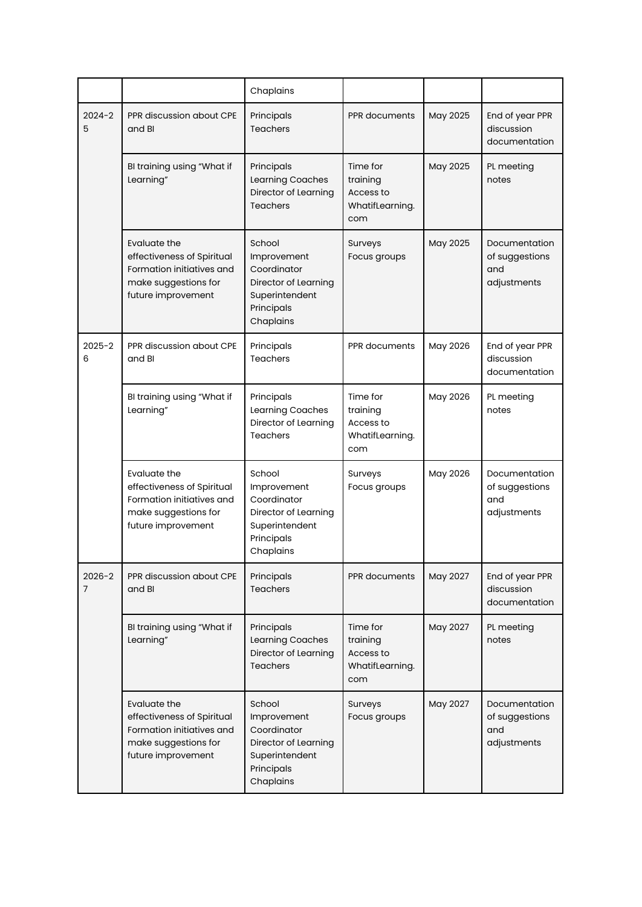|                 |                                                                                                                       | Chaplains                                                                                                 |                                                             |          |                                                       |
|-----------------|-----------------------------------------------------------------------------------------------------------------------|-----------------------------------------------------------------------------------------------------------|-------------------------------------------------------------|----------|-------------------------------------------------------|
| $2024 - 2$<br>5 | PPR discussion about CPE<br>and BI                                                                                    | Principals<br><b>Teachers</b>                                                                             | PPR documents                                               | May 2025 | End of year PPR<br>discussion<br>documentation        |
|                 | BI training using "What if<br>Learning"                                                                               | Principals<br>Learning Coaches<br>Director of Learning<br><b>Teachers</b>                                 | Time for<br>training<br>Access to<br>WhatifLearning.<br>com | May 2025 | PL meeting<br>notes                                   |
|                 | Evaluate the<br>effectiveness of Spiritual<br>Formation initiatives and<br>make suggestions for<br>future improvement | School<br>Improvement<br>Coordinator<br>Director of Learning<br>Superintendent<br>Principals<br>Chaplains | Surveys<br>Focus groups                                     | May 2025 | Documentation<br>of suggestions<br>and<br>adjustments |
| $2025 - 2$<br>6 | PPR discussion about CPE<br>and BI                                                                                    | Principals<br><b>Teachers</b>                                                                             | PPR documents                                               | May 2026 | End of year PPR<br>discussion<br>documentation        |
|                 | BI training using "What if<br>Learning"                                                                               | Principals<br>Learning Coaches<br>Director of Learning<br><b>Teachers</b>                                 | Time for<br>training<br>Access to<br>WhatifLearning.<br>com | May 2026 | PL meeting<br>notes                                   |
|                 | Evaluate the<br>effectiveness of Spiritual<br>Formation initiatives and<br>make suggestions for<br>future improvement | School<br>Improvement<br>Coordinator<br>Director of Learning<br>Superintendent<br>Principals<br>Chaplains | Surveys<br>Focus groups                                     | May 2026 | Documentation<br>of suggestions<br>and<br>adjustments |
| $2026 - 2$<br>7 | PPR discussion about CPE<br>and BI                                                                                    | Principals<br><b>Teachers</b>                                                                             | PPR documents                                               | May 2027 | End of year PPR<br>discussion<br>documentation        |
|                 | BI training using "What if<br>Learning"                                                                               | Principals<br>Learning Coaches<br>Director of Learning<br>Teachers                                        | Time for<br>training<br>Access to<br>WhatifLearning.<br>com | May 2027 | PL meeting<br>notes                                   |
|                 | Evaluate the<br>effectiveness of Spiritual<br>Formation initiatives and<br>make suggestions for<br>future improvement | School<br>Improvement<br>Coordinator<br>Director of Learning<br>Superintendent<br>Principals<br>Chaplains | Surveys<br>Focus groups                                     | May 2027 | Documentation<br>of suggestions<br>and<br>adjustments |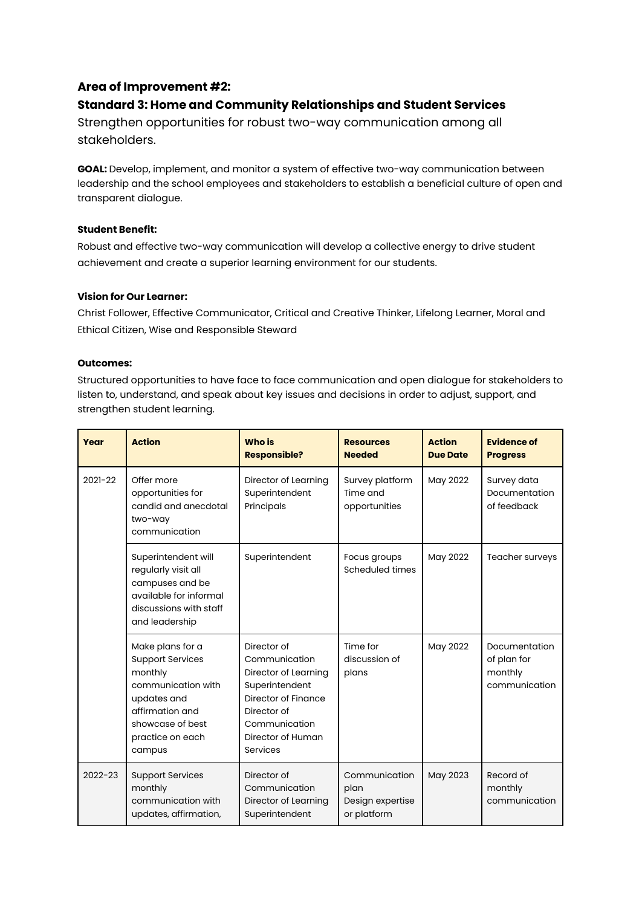## **Area of Improvement #2:**

## **Standard 3: Home and Community Relationships and Student Services**

Strengthen opportunities for robust two-way communication among all stakeholders.

**GOAL:** Develop, implement, and monitor a system of effective two-way communication between leadership and the school employees and stakeholders to establish a beneficial culture of open and transparent dialogue.

## **Student Benefit:**

Robust and effective two-way communication will develop a collective energy to drive student achievement and create a superior learning environment for our students.

## **Vision for Our Learner:**

Christ Follower, Effective Communicator, Critical and Creative Thinker, Lifelong Learner, Moral and Ethical Citizen, Wise and Responsible Steward

#### **Outcomes:**

Structured opportunities to have face to face communication and open dialogue for stakeholders to listen to, understand, and speak about key issues and decisions in order to adjust, support, and strengthen student learning.

| Year        | <b>Action</b>                                                                                                                                                    | <b>Who is</b><br><b>Responsible?</b>                                                                                                                           | <b>Resources</b><br><b>Needed</b>                        | <b>Action</b><br><b>Due Date</b> | <b>Evidence of</b><br><b>Progress</b>                    |
|-------------|------------------------------------------------------------------------------------------------------------------------------------------------------------------|----------------------------------------------------------------------------------------------------------------------------------------------------------------|----------------------------------------------------------|----------------------------------|----------------------------------------------------------|
| 2021-22     | Offer more<br>opportunities for<br>candid and anecdotal<br>two-way<br>communication                                                                              | Director of Learning<br>Superintendent<br>Principals                                                                                                           | Survey platform<br>Time and<br>opportunities             | May 2022                         | Survey data<br>Documentation<br>of feedback              |
|             | Superintendent will<br>regularly visit all<br>campuses and be<br>available for informal<br>discussions with staff<br>and leadership                              | Superintendent                                                                                                                                                 | Focus groups<br>Scheduled times                          | May 2022                         | Teacher surveys                                          |
|             | Make plans for a<br><b>Support Services</b><br>monthly<br>communication with<br>updates and<br>affirmation and<br>showcase of best<br>practice on each<br>campus | Director of<br>Communication<br>Director of Learning<br>Superintendent<br>Director of Finance<br>Director of<br>Communication<br>Director of Human<br>Services | Time for<br>discussion of<br>plans                       | May 2022                         | Documentation<br>of plan for<br>monthly<br>communication |
| $2022 - 23$ | <b>Support Services</b><br>monthly<br>communication with<br>updates, affirmation,                                                                                | Director of<br>Communication<br>Director of Learning<br>Superintendent                                                                                         | Communication<br>plan<br>Design expertise<br>or platform | May 2023                         | Record of<br>monthly<br>communication                    |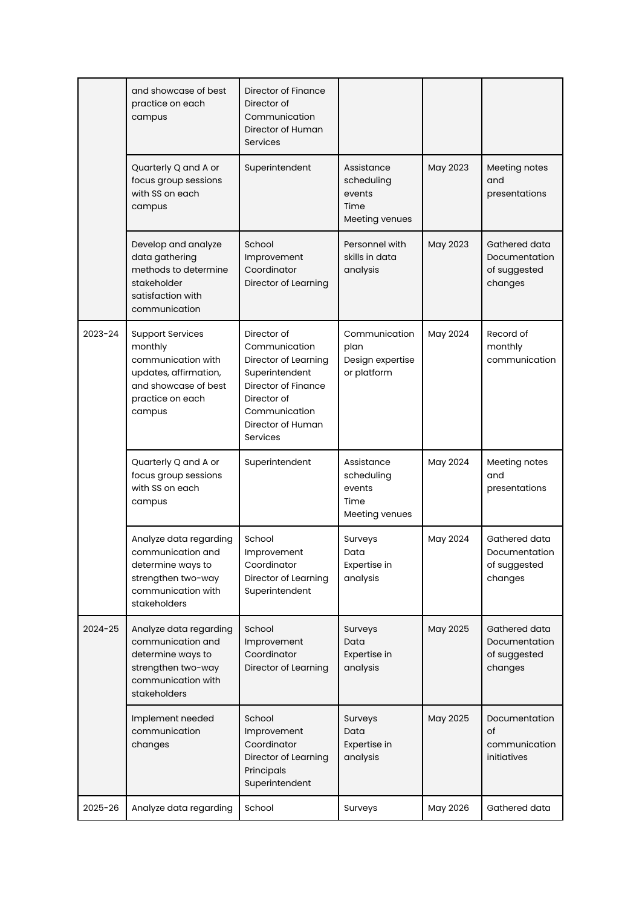|         | and showcase of best<br>practice on each<br>campus                                                                                      | Director of Finance<br>Director of<br>Communication<br>Director of Human<br><b>Services</b>                                                                    |                                                              |          |                                                           |
|---------|-----------------------------------------------------------------------------------------------------------------------------------------|----------------------------------------------------------------------------------------------------------------------------------------------------------------|--------------------------------------------------------------|----------|-----------------------------------------------------------|
|         | Quarterly Q and A or<br>focus group sessions<br>with SS on each<br>campus                                                               | Superintendent                                                                                                                                                 | Assistance<br>scheduling<br>events<br>Time<br>Meeting venues | May 2023 | Meeting notes<br>and<br>presentations                     |
|         | Develop and analyze<br>data gathering<br>methods to determine<br>stakeholder<br>satisfaction with<br>communication                      | School<br>Improvement<br>Coordinator<br>Director of Learning                                                                                                   | Personnel with<br>skills in data<br>analysis                 | May 2023 | Gathered data<br>Documentation<br>of suggested<br>changes |
| 2023-24 | <b>Support Services</b><br>monthly<br>communication with<br>updates, affirmation,<br>and showcase of best<br>practice on each<br>campus | Director of<br>Communication<br>Director of Learning<br>Superintendent<br>Director of Finance<br>Director of<br>Communication<br>Director of Human<br>Services | Communication<br>plan<br>Design expertise<br>or platform     | May 2024 | Record of<br>monthly<br>communication                     |
|         | Quarterly Q and A or<br>focus group sessions<br>with SS on each<br>campus                                                               | Superintendent                                                                                                                                                 | Assistance<br>scheduling<br>events<br>Time<br>Meeting venues | May 2024 | Meeting notes<br>and<br>presentations                     |
|         | Analyze data regarding<br>communication and<br>determine ways to<br>strengthen two-way<br>communication with<br>stakeholders            | School<br>Improvement<br>Coordinator<br>Director of Learning<br>Superintendent                                                                                 | Surveys<br>Data<br>Expertise in<br>analysis                  | May 2024 | Gathered data<br>Documentation<br>of suggested<br>changes |
| 2024-25 | Analyze data regarding<br>communication and<br>determine ways to<br>strengthen two-way<br>communication with<br>stakeholders            | School<br>Improvement<br>Coordinator<br>Director of Learning                                                                                                   | Surveys<br>Data<br>Expertise in<br>analysis                  | May 2025 | Gathered data<br>Documentation<br>of suggested<br>changes |
|         | Implement needed<br>communication<br>changes                                                                                            | School<br>Improvement<br>Coordinator<br>Director of Learning<br>Principals<br>Superintendent                                                                   | Surveys<br>Data<br>Expertise in<br>analysis                  | May 2025 | Documentation<br>of<br>communication<br>initiatives       |
|         |                                                                                                                                         |                                                                                                                                                                |                                                              |          |                                                           |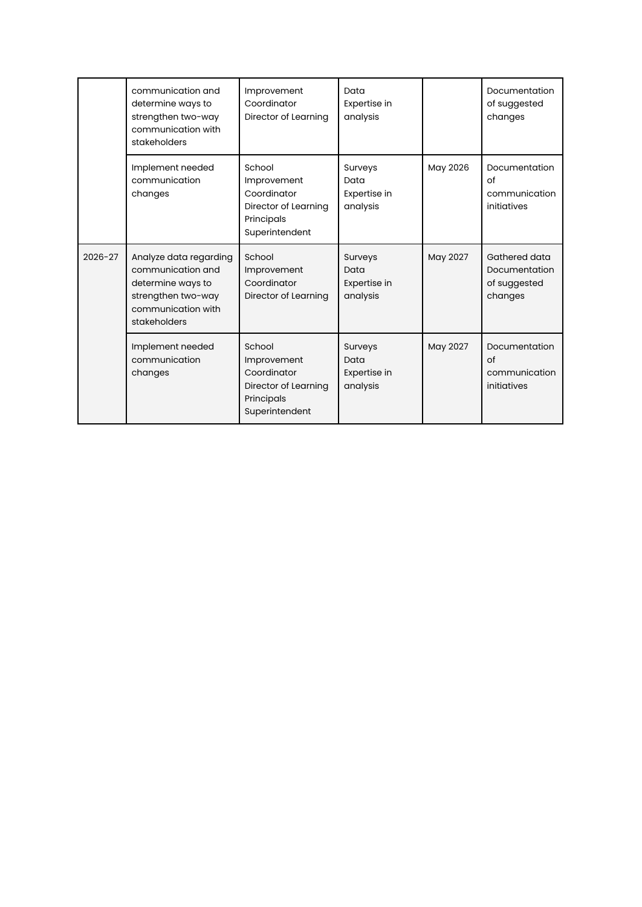|             | communication and<br>determine ways to<br>strengthen two-way<br>communication with<br>stakeholders                           | Improvement<br>Coordinator<br>Director of Learning                                           | Data<br>Expertise in<br>analysis            |          | Documentation<br>of suggested<br>changes                  |
|-------------|------------------------------------------------------------------------------------------------------------------------------|----------------------------------------------------------------------------------------------|---------------------------------------------|----------|-----------------------------------------------------------|
|             | Implement needed<br>communication<br>changes                                                                                 | School<br>Improvement<br>Coordinator<br>Director of Learning<br>Principals<br>Superintendent | Surveys<br>Data<br>Expertise in<br>analysis | May 2026 | Documentation<br>of<br>communication<br>initiatives       |
| $2026 - 27$ | Analyze data regarding<br>communication and<br>determine ways to<br>strengthen two-way<br>communication with<br>stakeholders | School<br>Improvement<br>Coordinator<br>Director of Learning                                 | Surveys<br>Data<br>Expertise in<br>analysis | May 2027 | Gathered data<br>Documentation<br>of suggested<br>changes |
|             | Implement needed<br>communication<br>changes                                                                                 | School<br>Improvement<br>Coordinator<br>Director of Learning<br>Principals<br>Superintendent | Surveys<br>Data<br>Expertise in<br>analysis | May 2027 | Documentation<br>of<br>communication<br>initiatives       |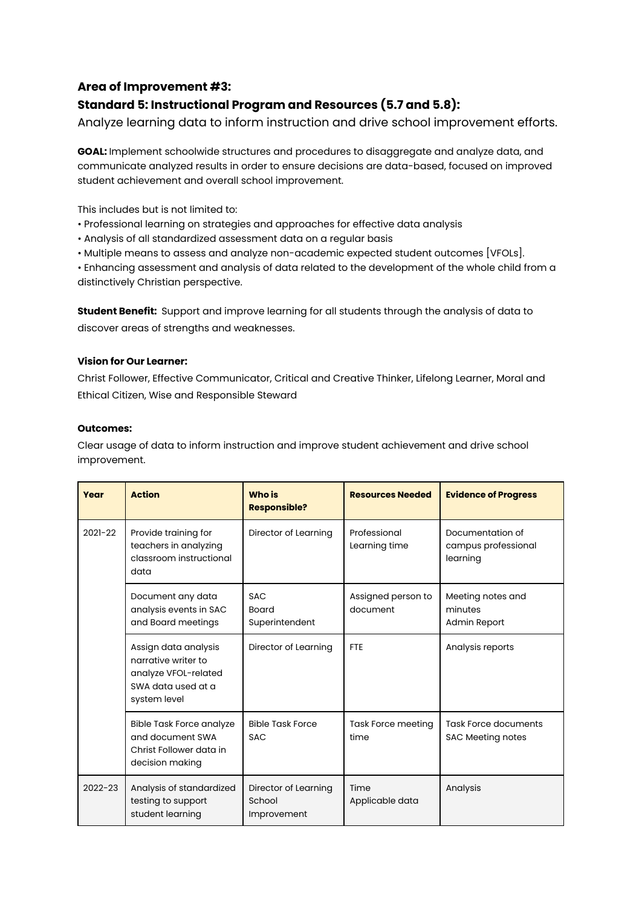## **Area of Improvement #3:**

## **Standard 5: Instructional Program and Resources (5.7 and 5.8):**

Analyze learning data to inform instruction and drive school improvement efforts.

**GOAL:** Implement schoolwide structures and procedures to disaggregate and analyze data, and communicate analyzed results in order to ensure decisions are data-based, focused on improved student achievement and overall school improvement.

This includes but is not limited to:

- Professional learning on strategies and approaches for effective data analysis
- Analysis of all standardized assessment data on a regular basis
- Multiple means to assess and analyze non-academic expected student outcomes [VFOLs].

• Enhancing assessment and analysis of data related to the development of the whole child from a distinctively Christian perspective.

**Student Benefit:** Support and improve learning for all students through the analysis of data to discover areas of strengths and weaknesses.

## **Vision for Our Learner:**

Christ Follower, Effective Communicator, Critical and Creative Thinker, Lifelong Learner, Moral and Ethical Citizen, Wise and Responsible Steward

#### **Outcomes:**

Clear usage of data to inform instruction and improve student achievement and drive school improvement.

| Year        | <b>Action</b>                                                                                             | <b>Who is</b><br><b>Responsible?</b>          | <b>Resources Needed</b>           | <b>Evidence of Progress</b>                             |
|-------------|-----------------------------------------------------------------------------------------------------------|-----------------------------------------------|-----------------------------------|---------------------------------------------------------|
| $2021 - 22$ | Provide training for<br>teachers in analyzing<br>classroom instructional<br>data                          | Director of Learning                          | Professional<br>Learning time     | Documentation of<br>campus professional<br>learning     |
|             | Document any data<br>analysis events in SAC<br>and Board meetings                                         | <b>SAC</b><br><b>Board</b><br>Superintendent  | Assigned person to<br>document    | Meeting notes and<br>minutes<br><b>Admin Report</b>     |
|             | Assign data analysis<br>narrative writer to<br>analyze VFOL-related<br>SWA data used at a<br>system level | Director of Learning                          | <b>FTF</b>                        | Analysis reports                                        |
|             | <b>Bible Task Force analyze</b><br>and document SWA<br>Christ Follower data in<br>decision making         | <b>Bible Task Force</b><br><b>SAC</b>         | <b>Task Force meeting</b><br>time | <b>Task Force documents</b><br><b>SAC Meeting notes</b> |
| $2022 - 23$ | Analysis of standardized<br>testing to support<br>student learning                                        | Director of Learning<br>School<br>Improvement | Time<br>Applicable data           | Analysis                                                |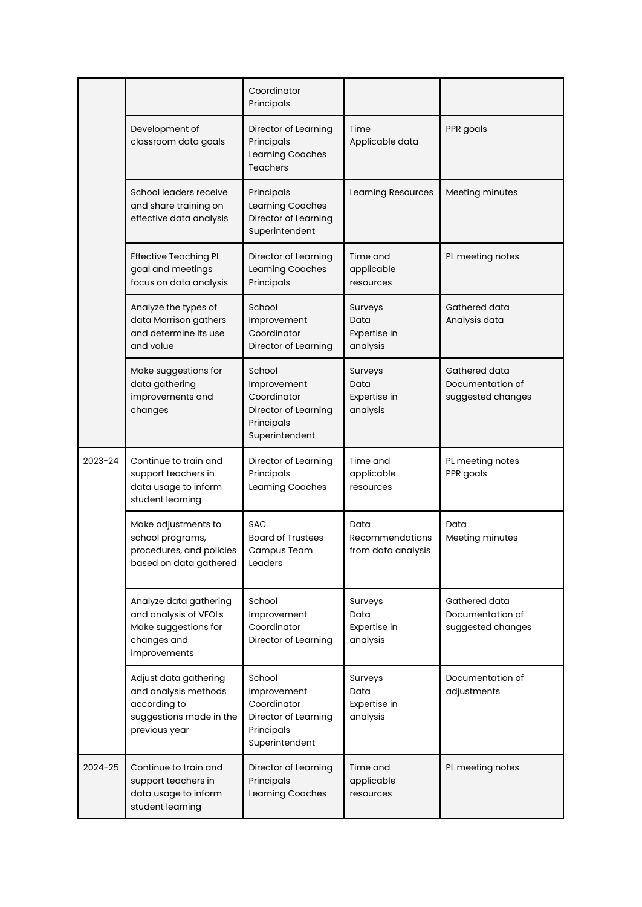|         |                                                                                                           | Coordinator<br>Principals                                                                    |                                               |                                                        |
|---------|-----------------------------------------------------------------------------------------------------------|----------------------------------------------------------------------------------------------|-----------------------------------------------|--------------------------------------------------------|
|         | Development of<br>classroom data goals                                                                    | Director of Learning<br>Principals<br>Learning Coaches<br><b>Teachers</b>                    | Time<br>Applicable data                       | PPR goals                                              |
|         | School leaders receive<br>and share training on<br>effective data analysis                                | Principals<br>Learning Coaches<br>Director of Learning<br>Superintendent                     | Learning Resources                            | Meeting minutes                                        |
|         | <b>Effective Teaching PL</b><br>goal and meetings<br>focus on data analysis                               | Director of Learning<br>Learning Coaches<br>Principals                                       | Time and<br>applicable<br>resources           | PL meeting notes                                       |
|         | Analyze the types of<br>data Morrison gathers<br>and determine its use<br>and value                       | School<br>Improvement<br>Coordinator<br>Director of Learning                                 | Surveys<br>Data<br>Expertise in<br>analysis   | Gathered data<br>Analysis data                         |
|         | Make suggestions for<br>data gathering<br>improvements and<br>changes                                     | School<br>Improvement<br>Coordinator<br>Director of Learning<br>Principals<br>Superintendent | Surveys<br>Data<br>Expertise in<br>analysis   | Gathered data<br>Documentation of<br>suggested changes |
| 2023-24 | Continue to train and<br>support teachers in<br>data usage to inform<br>student learning                  | Director of Learning<br>Principals<br>Learning Coaches                                       | Time and<br>applicable<br>resources           | PL meeting notes<br>PPR goals                          |
|         | Make adjustments to<br>school programs,<br>procedures, and policies<br>based on data gathered             | <b>SAC</b><br><b>Board of Trustees</b><br>Campus Team<br>Leaders                             | Data<br>Recommendations<br>from data analysis | Data<br>Meeting minutes                                |
|         | Analyze data gathering<br>and analysis of VFOLs<br>Make suggestions for<br>changes and<br>improvements    | School<br>Improvement<br>Coordinator<br>Director of Learning                                 | Surveys<br>Data<br>Expertise in<br>analysis   | Gathered data<br>Documentation of<br>suggested changes |
|         | Adjust data gathering<br>and analysis methods<br>according to<br>suggestions made in the<br>previous year | School<br>Improvement<br>Coordinator<br>Director of Learning<br>Principals<br>Superintendent | Surveys<br>Data<br>Expertise in<br>analysis   | Documentation of<br>adjustments                        |
| 2024-25 | Continue to train and<br>support teachers in<br>data usage to inform<br>student learning                  | Director of Learning<br>Principals<br>Learning Coaches                                       | Time and<br>applicable<br>resources           | PL meeting notes                                       |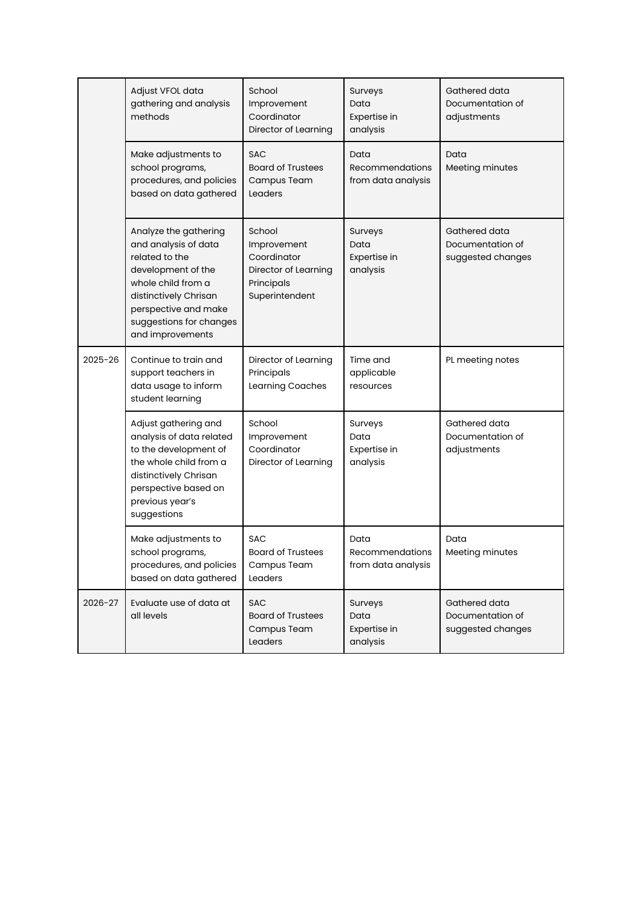|         | Adjust VFOL data<br>gathering and analysis<br>methods                                                                                                                                                       | School<br>Improvement<br>Coordinator<br>Director of Learning                                 | Surveys<br>Data<br>Expertise in<br>analysis          | Gathered data<br>Documentation of<br>adjustments       |
|---------|-------------------------------------------------------------------------------------------------------------------------------------------------------------------------------------------------------------|----------------------------------------------------------------------------------------------|------------------------------------------------------|--------------------------------------------------------|
|         | Make adjustments to<br>school programs,<br>procedures, and policies<br>based on data gathered                                                                                                               | <b>SAC</b><br><b>Board of Trustees</b><br>Campus Team<br>Leaders                             | Data<br><b>Recommendations</b><br>from data analysis | Data<br>Meeting minutes                                |
|         | Analyze the gathering<br>and analysis of data<br>related to the<br>development of the<br>whole child from a<br>distinctively Chrisan<br>perspective and make<br>suggestions for changes<br>and improvements | School<br>Improvement<br>Coordinator<br>Director of Learning<br>Principals<br>Superintendent | Surveys<br>Data<br>Expertise in<br>analysis          | Gathered data<br>Documentation of<br>suggested changes |
| 2025-26 | Continue to train and<br>support teachers in<br>data usage to inform<br>student learning                                                                                                                    | Director of Learning<br>Principals<br>Learning Coaches                                       | Time and<br>applicable<br>resources                  | PL meeting notes                                       |
|         | Adjust gathering and<br>analysis of data related<br>to the development of<br>the whole child from a<br>distinctively Chrisan<br>perspective based on<br>previous year's<br>suggestions                      | School<br>Improvement<br>Coordinator<br>Director of Learning                                 | Surveys<br>Data<br>Expertise in<br>analysis          | Gathered data<br>Documentation of<br>adjustments       |
|         | Make adjustments to<br>school programs,<br>procedures, and policies<br>based on data gathered                                                                                                               | <b>SAC</b><br><b>Board of Trustees</b><br>Campus Team<br>Leaders                             | Data<br>Recommendations<br>from data analysis        | Data<br>Meeting minutes                                |
| 2026-27 | Evaluate use of data at<br>all levels                                                                                                                                                                       | <b>SAC</b><br><b>Board of Trustees</b><br>Campus Team<br>Leaders                             | Surveys<br>Data<br>Expertise in<br>analysis          | Gathered data<br>Documentation of<br>suggested changes |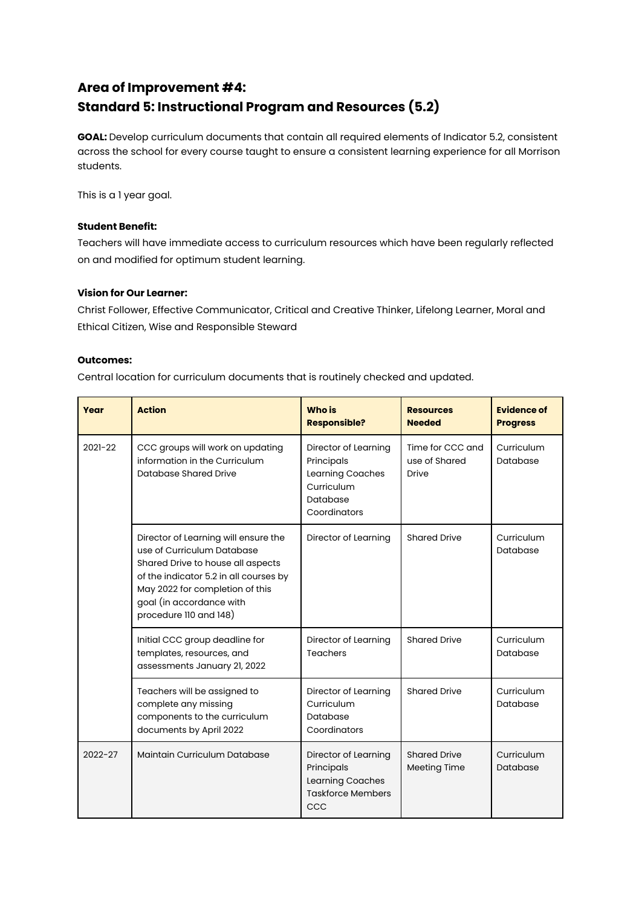## **Area of Improvement #4: Standard 5: Instructional Program and Resources (5.2)**

**GOAL:** Develop curriculum documents that contain all required elements of Indicator 5.2, consistent across the school for every course taught to ensure a consistent learning experience for all Morrison students.

This is a 1 year goal.

## **Student Benefit:**

Teachers will have immediate access to curriculum resources which have been regularly reflected on and modified for optimum student learning.

## **Vision for Our Learner:**

Christ Follower, Effective Communicator, Critical and Creative Thinker, Lifelong Learner, Moral and Ethical Citizen, Wise and Responsible Steward

#### **Outcomes:**

Central location for curriculum documents that is routinely checked and updated.

| Year        | <b>Action</b>                                                                                                                                                                                                                              | <b>Who is</b><br><b>Responsible?</b>                                                             | <b>Resources</b><br><b>Needed</b>          | <b>Evidence of</b><br><b>Progress</b> |
|-------------|--------------------------------------------------------------------------------------------------------------------------------------------------------------------------------------------------------------------------------------------|--------------------------------------------------------------------------------------------------|--------------------------------------------|---------------------------------------|
| $2021 - 22$ | CCC groups will work on updating<br>information in the Curriculum<br>Database Shared Drive                                                                                                                                                 | Director of Learning<br>Principals<br>Learning Coaches<br>Curriculum<br>Database<br>Coordinators | Time for CCC and<br>use of Shared<br>Drive | Curriculum<br>Database                |
|             | Director of Learning will ensure the<br>use of Curriculum Database<br>Shared Drive to house all aspects<br>of the indicator 5.2 in all courses by<br>May 2022 for completion of this<br>goal (in accordance with<br>procedure 110 and 148) | Director of Learning                                                                             | <b>Shared Drive</b>                        | Curriculum<br>Database                |
|             | Initial CCC group deadline for<br>templates, resources, and<br>assessments January 21, 2022                                                                                                                                                | Director of Learning<br><b>Teachers</b>                                                          | <b>Shared Drive</b>                        | Curriculum<br>Database                |
|             | Teachers will be assigned to<br>complete any missing<br>components to the curriculum<br>documents by April 2022                                                                                                                            | Director of Learning<br>Curriculum<br>Database<br>Coordinators                                   | <b>Shared Drive</b>                        | Curriculum<br>Database                |
| $2022 - 27$ | Maintain Curriculum Database                                                                                                                                                                                                               | Director of Learning<br>Principals<br>Learning Coaches<br><b>Taskforce Members</b><br>CCC        | <b>Shared Drive</b><br>Meeting Time        | Curriculum<br>Database                |